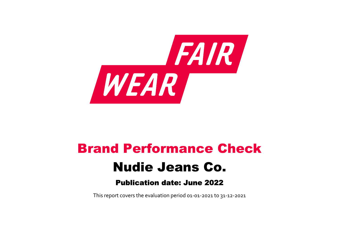

# Brand Performance Check Nudie Jeans Co. Publication date: June 2022

This report covers the evaluation period 01‐01‐2021 to 31‐12‐2021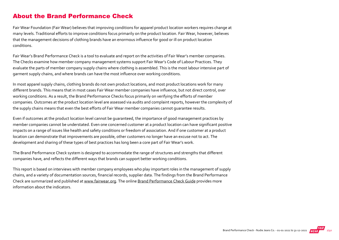## About the Brand Performance Check

Fair Wear Foundation (Fair Wear) believes that improving conditions for apparel product location workers requires change at many levels. Traditional efforts to improve conditions focus primarily on the product location. Fair Wear, however, believes that the management decisions of clothing brands have an enormous influence for good or ill on product location conditions.

Fair Wear's Brand Performance Check is a tool to evaluate and report on the activities of Fair Wear's member companies. The Checks examine how member company management systems support Fair Wear's Code of Labour Practices. They evaluate the parts of member company supply chains where clothing is assembled. This is the most labour intensive part of garment supply chains, and where brands can have the most influence over working conditions.

In most apparel supply chains, clothing brands do not own product locations, and most product locations work for many different brands. This means that in most cases Fair Wear member companies have influence, but not direct control, over working conditions. As a result, the Brand Performance Checks focus primarily on verifying the efforts of member companies. Outcomes at the product location level are assessed via audits and complaint reports, however the complexity of the supply chains means that even the best efforts of Fair Wear member companies cannot guarantee results.

Even if outcomes at the product location level cannot be guaranteed, the importance of good management practices by member companies cannot be understated. Even one concerned customer at a product location can have significant positive impacts on a range of issues like health and safety conditions or freedom of association. And if one customer at a product location can demonstrate that improvements are possible, other customers no longer have an excuse not to act. The development and sharing of these types of best practices has long been a core part of Fair Wear's work.

The Brand Performance Check system is designed to accommodate the range of structures and strengths that different companies have, and reflects the different ways that brands can support better working conditions.

This report is based on interviews with member company employees who play important roles in the management of supply chains, and a variety of documentation sources, financial records, supplier data. The findings from the Brand Performance Check are summarized and published at [www.fairwear.org](http://www.fairwear.org/). The online [Brand Performance Check Guide](https://members.fairwear.org/resources/brand-performance-check-guide/12) provides more information about the indicators.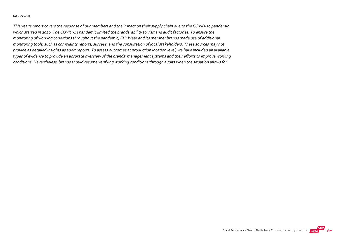#### On COVID‐19

This year's report covers the response of our members and the impact on their supply chain due to the COVID‐19 pandemic which started in 2020. The COVID‐19 pandemic limited the brands' ability to visit and audit factories. To ensure the monitoring of working conditions throughout the pandemic, Fair Wear and its member brands made use of additional monitoring tools, such as complaints reports, surveys, and the consultation of local stakeholders. These sources may not provide as detailed insights as audit reports. To assess outcomes at production location level, we have included all available types of evidence to provide an accurate overview of the brands' management systems and their efforts to improve working conditions. Nevertheless, brands should resume verifying working conditions through audits when the situation allows for.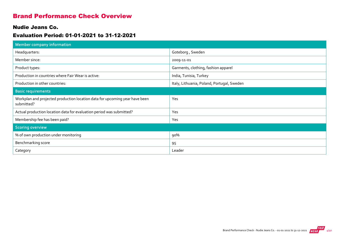## Brand Performance Check Overview

#### Nudie Jeans Co.

#### Evaluation Period: 01-01-2021 to 31-12-2021

| Member company information                                                                |                                            |
|-------------------------------------------------------------------------------------------|--------------------------------------------|
| Headquarters:                                                                             | Goteborg, Sweden                           |
| Member since:                                                                             | 2009-11-01                                 |
| Product types:                                                                            | Garments, clothing, fashion apparel        |
| Production in countries where Fair Wear is active:                                        | India, Tunisia, Turkey                     |
| Production in other countries:                                                            | Italy, Lithuania, Poland, Portugal, Sweden |
| <b>Basic requirements</b>                                                                 |                                            |
| Workplan and projected production location data for upcoming year have been<br>submitted? | Yes                                        |
| Actual production location data for evaluation period was submitted?                      | Yes                                        |
| Membership fee has been paid?                                                             | Yes                                        |
| <b>Scoring overview</b>                                                                   |                                            |
| % of own production under monitoring                                                      | 90%                                        |
| Benchmarking score                                                                        | 95                                         |
| Category                                                                                  | Leader                                     |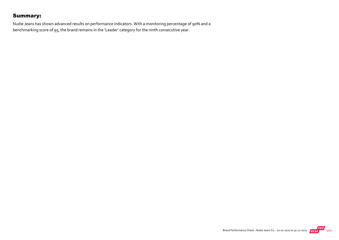## Summary:

Nudie Jeans has shown advanced results on performance indicators. With a monitoring percentage of 90% and a benchmarking score of 95, the brand remains in the 'Leader' category for the ninth consecutive year.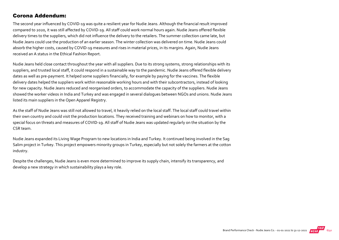#### Corona Addendum:

The second year influenced by COVID‐19 was quite a resilient year for Nudie Jeans. Although the financial result improved compared to 2020, it was still affected by COVID‐19. All staff could work normal hours again. Nudie Jeans offered flexible delivery times to the suppliers, which did not influence the delivery to the retailers. The summer collection came late, but Nudie Jeans could use the production of an earlier season. The winter collection was delivered on time. Nudie Jeans could absorb the higher costs, caused by COVID‐19 measures and rises in material prices, in its margins. Again, Nudie Jeans received an A status in the Ethical Fashion Report.

Nudie Jeans held close contact throughout the year with all suppliers. Due to its strong systems, strong relationships with its suppliers, and trusted local staff, it could respond in a sustainable way to the pandemic. Nudie Jeans offered flexible delivery dates as well as pre‐payment. It helped some suppliers financially, for example by paying for the vaccines. The flexible delivery dates helped the suppliers work within reasonable working hours and with their subcontractors, instead of looking for new capacity. Nudie Jeans reduced and reorganised orders, to accommodate the capacity of the suppliers. Nudie Jeans showed the worker videos in India and Turkey and was engaged in several dialogues between NGOs and unions. Nudie Jeans listed its main suppliers in the Open Apparel Registry.

As the staff of Nudie Jeans was still not allowed to travel, it heavily relied on the local staff. The local staff could travel within their own country and could visit the production locations. They received training and webinars on how to monitor, with a special focus on threats and measures of COVID‐19. All staff of Nudie Jeans was updated regularly on the situation by the CSR team.

Nudie Jeans expanded its Living Wage Program to new locations in India and Turkey. It continued being involved in the Sag Salim project in Turkey. This project empowers minority groups in Turkey, especially but not solely the farmers at the cotton industry.

Despite the challenges, Nudie Jeans is even more determined to improve its supply chain, intensify its transparency, and develop a new strategy in which sustainability plays a key role.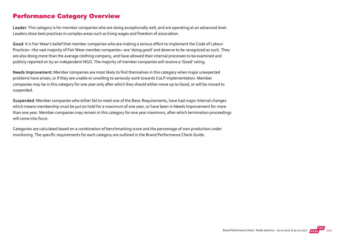## Performance Category Overview

Leader: This category is for member companies who are doing exceptionally well, and are operating at an advanced level. Leaders show best practices in complex areas such as living wages and freedom of association.

Good: It is Fair Wear's belief that member companies who are making a serious effort to implement the Code of Labour Practices—the vast majority of Fair Wear member companies—are 'doing good' and deserve to be recognized as such. They are also doing more than the average clothing company, and have allowed their internal processes to be examined and publicly reported on by an independent NGO. The majority of member companies will receive a 'Good' rating.

Needs Improvement: Member companies are most likely to find themselves in this category when major unexpected problems have arisen, or if they are unable or unwilling to seriously work towards CoLP implementation. Member companies may be in this category for one year only after which they should either move up to Good, or will be moved to suspended.

Suspended: Member companies who either fail to meet one of the Basic Requirements, have had major internal changes which means membership must be put on hold for a maximum of one year, or have been in Needs Improvement for more than one year. Member companies may remain in this category for one year maximum, after which termination proceedings will come into force.

Categories are calculated based on a combination of benchmarking score and the percentage of own production under monitoring. The specific requirements for each category are outlined in the Brand Performance Check Guide.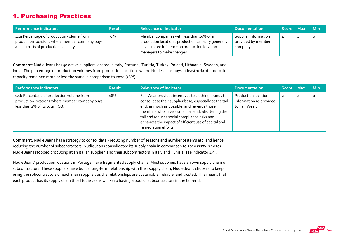## 1. Purchasing Practices

| Performance indicators                                                                                                              | <b>Result</b> | <b>Relevance of Indicator</b>                                                                                                                                                 | <b>Documentation</b>                                   | Score Max | <b>Min</b> |
|-------------------------------------------------------------------------------------------------------------------------------------|---------------|-------------------------------------------------------------------------------------------------------------------------------------------------------------------------------|--------------------------------------------------------|-----------|------------|
| 1.1a Percentage of production volume from<br>production locations where member company buys<br>at least 10% of production capacity. | 77%           | Member companies with less than 10% of a<br>production location's production capacity generally<br>have limited influence on production location<br>managers to make changes. | Supplier information<br>provided by member<br>company. |           | $\circ$    |

Comment: Nudie Jeans has 50 active suppliers located in Italy, Portugal, Tunisia, Turkey, Poland, Lithuania, Sweden, and India. The percentage of production volumes from production locations where Nudie Jeans buys at least 10% of production capacity remained more or less the same in comparison to 2020 (78%).

| Performance indicators                                                                                                        | <b>Result</b> | <b>Relevance of Indicator</b>                                                                                                                                                                                                                                                                                                                     | <b>Documentation</b>                                            | Score Max | <b>Min</b> |
|-------------------------------------------------------------------------------------------------------------------------------|---------------|---------------------------------------------------------------------------------------------------------------------------------------------------------------------------------------------------------------------------------------------------------------------------------------------------------------------------------------------------|-----------------------------------------------------------------|-----------|------------|
| 1.1b Percentage of production volume from<br>production locations where member company buys<br>less than 2% of its total FOB. | 18%           | Fair Wear provides incentives to clothing brands to<br>consolidate their supplier base, especially at the tail<br>end, as much as possible, and rewards those<br>members who have a small tail end. Shortening the<br>tail end reduces social compliance risks and<br>enhances the impact of efficient use of capital and<br>remediation efforts. | Production location<br>information as provided<br>to Fair Wear. | 2         | 0          |

Comment: Nudie Jeans has a strategy to consolidate ‐ reducing number of seasons and number of items etc. and hence reducing the number of subcontractors. Nudie Jeans consolidated its supply chain in comparison to 2020 (32% in 2020). Nudie Jeans stopped producing at an Italian supplier, and their subcontractors in Italy and Tunisia (see indicator 1.5).

Nudie Jeans' production locations in Portugal have fragmented supply chains. Most suppliers have an own supply chain of subcontractors. These suppliers have built a long-term relationship with their supply chain, Nudie Jeans chooses to keep using the subcontractors of each main supplier, as the relationships are sustainable, reliable, and trusted. This means that each product has its supply chain thus Nudie Jeans will keep having a pool of subcontractors in the tail‐end.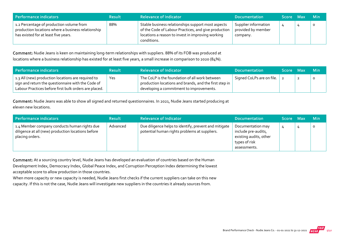| Performance indicators                                                                                                                 | <b>Result</b> | <b>Relevance of Indicator</b>                                                                                                                                                  | <b>Documentation</b>                                   | Score Max | <b>Min</b> |
|----------------------------------------------------------------------------------------------------------------------------------------|---------------|--------------------------------------------------------------------------------------------------------------------------------------------------------------------------------|--------------------------------------------------------|-----------|------------|
| 1.2 Percentage of production volume from<br>production locations where a business relationship<br>has existed for at least five years. | 88%           | Stable business relationships support most aspects<br>of the Code of Labour Practices, and give production<br>locations a reason to invest in improving working<br>conditions. | Supplier information<br>provided by member<br>company. | 4         |            |

Comment: Nudie Jeans is keen on maintaining long‐term relationships with suppliers. 88% of its FOB was produced at locations where a business relationship has existed for at least five years, a small increase in comparison to 2020 (84%).

| Performance indicators                                                                                                                                            | <b>Result</b> | <b>Relevance of Indicator</b>                                                                                                                        | <b>Documentation</b>      | Score Max | <b>Min</b> |
|-------------------------------------------------------------------------------------------------------------------------------------------------------------------|---------------|------------------------------------------------------------------------------------------------------------------------------------------------------|---------------------------|-----------|------------|
| 1.3 All (new) production locations are required to<br>sign and return the questionnaire with the Code of<br>Labour Practices before first bulk orders are placed. | Yes           | The CoLP is the foundation of all work between<br>production locations and brands, and the first step in<br>developing a commitment to improvements. | Signed CoLPs are on file. |           |            |

Comment: Nudie Jeans was able to show all signed and returned questionnaires. In 2021, Nudie Jeans started producing at eleven new locations.

| Performance indicators                                                                                                | <b>Result</b> | <b>Relevance of Indicator</b>                                                                          | <b>Documentation</b>                                                                                | Score Max | <b>Min</b> |
|-----------------------------------------------------------------------------------------------------------------------|---------------|--------------------------------------------------------------------------------------------------------|-----------------------------------------------------------------------------------------------------|-----------|------------|
| 1.4 Member company conducts human rights due<br>diligence at all (new) production locations before<br>placing orders. | Advanced      | Due diligence helps to identify, prevent and mitigate<br>potential human rights problems at suppliers. | Documentation may<br>include pre-audits,<br>existing audits, other<br>types of risk<br>assessments. |           | $\circ$    |

Comment: At a sourcing country level, Nudie Jeans has developed an evaluation of countries based on the Human Development Index, Democracy Index, Global Peace Index, and Corruption Perception Index determining the lowest acceptable score to allow production in those countries.

When more capacity or new capacity is needed, Nudie Jeans first checks if the current suppliers can take on this new capacity. If this is not the case, Nudie Jeans will investigate new suppliers in the countries it already sources from.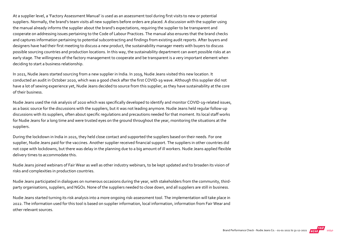At a supplier level, a 'Factory Assessment Manual' is used as an assessment tool during first visits to new or potential suppliers. Normally, the brand's team visits all new suppliers before orders are placed. A discussion with the supplier using the manual already informs the supplier about the brand's expectations, requiring the supplier to be transparent and cooperate on addressing issues pertaining to the Code of Labour Practices. The manual also ensures that the brand checks and captures information pertaining to potential subcontracting and findings from existing audit reports. After buyers and designers have had their first meeting to discuss a new product, the sustainability manager meets with buyers to discuss possible sourcing countries and production locations. In this way, the sustainability department can avert possible risks at an early stage. The willingness of the factory management to cooperate and be transparent is a very important element when deciding to start a business relationship.

In 2021, Nudie Jeans started sourcing from a new supplier in India. In 2019, Nudie Jeans visited this new location. It conducted an audit in October 2020, which was a good check after the first COVID‐19 wave. Although this supplier did not have a lot of sewing experience yet, Nudie Jeans decided to source from this supplier, as they have sustainability at the core of their business.

Nudie Jeans used the risk analysis of 2020 which was specifically developed to identify and monitor COVID‐19‐related issues, as a basic source for the discussions with the suppliers, but it was not leading anymore. Nudie Jeans held regular follow‐up discussions with its suppliers, often about specific regulations and precautions needed for that moment. Its local staff works for Nudie Jeans for a long time and were trusted eyes on the ground throughout the year, monitoring the situations at the suppliers.

During the lockdown in India in 2021, they held close contact and supported the suppliers based on their needs. For one supplier, Nudie Jeans paid for the vaccines. Another supplier received financial support. The suppliers in other countries did not cope with lockdowns, but there was delay in the planning due to a big amount of ill workers. Nudie Jeans applied flexible delivery times to accommodate this.

Nudie Jeans joined webinars of Fair Wear as well as other industry webinars, to be kept updated and to broaden its vision of risks and complexities in production countries.

Nudie Jeans participated in dialogues on numerous occasions during the year, with stakeholders from the community, third‐ party organisations, suppliers, and NGOs. None of the suppliers needed to close down, and all suppliers are still in business.

Nudie Jeans started turning its risk analysis into a more ongoing risk‐assessment tool. The implementation will take place in 2022. The information used for this tool is based on supplier information, local information, information from Fair Wear and other relevant sources.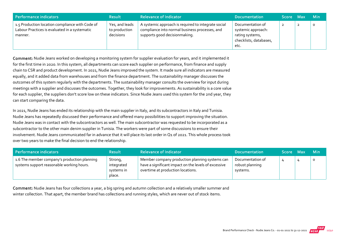| Performance indicators                                                                                      | <b>Result</b>                                | <b>Relevance of Indicator</b>                                                                                                          | <b>Documentation</b>                                                                        | <b>Score</b> | Max    | <b>Min</b> |
|-------------------------------------------------------------------------------------------------------------|----------------------------------------------|----------------------------------------------------------------------------------------------------------------------------------------|---------------------------------------------------------------------------------------------|--------------|--------|------------|
| 1.5 Production location compliance with Code of<br>Labour Practices is evaluated in a systematic<br>manner. | Yes, and leads<br>to production<br>decisions | A systemic approach is required to integrate social<br>compliance into normal business processes, and<br>supports good decisionmaking. | Documentation of<br>systemic approach:<br>rating systems,<br>checklists, databases,<br>etc. |              | ຳ<br>∸ | 0          |

Comment: Nudie Jeans worked on developing a monitoring system for supplier evaluation for years, and it implemented it for the first time in 2020. In this system, all departments can score each supplier on performance, from finance and supply chain to CSR and product development. In 2021, Nudie Jeans improved the system. It made sure all indicators are measured equally, and it added data from warehouses and from the finance department. The sustainability manager discusses the outcomes of this system regularly with the departments. The sustainability manager consults the overview for input during meetings with a supplier and discusses the outcomes. Together, they look for improvements. As sustainability is a core value for each supplier, the suppliers don't score low on these indicators. Since Nudie Jeans used this system for the 2nd year, they can start comparing the data.

In 2021, Nudie Jeans has ended its relationship with the main supplier in Italy, and its subcontractors in Italy and Tunisia. Nudie Jeans has repeatedly discussed their performance and offered many possibilities to support improving the situation. Nudie Jeans was in contact with the subcontractors as well. The main subcontractor was requested to be incorporated as a subcontractor to the other main denim supplier in Tunisia. The workers were part of some discussions to ensure their involvement. Nudie Jeans communicated far in advance that it will place its last order in Q1 of 2021. This whole process took over two years to make the final decision to end the relationship.

| Performance indicators                                                                    | <b>Result</b>                                 | <b>Relevance of Indicator</b>                                                                                                               | <b>Documentation</b>                            | Score Max | <b>Min</b> |
|-------------------------------------------------------------------------------------------|-----------------------------------------------|---------------------------------------------------------------------------------------------------------------------------------------------|-------------------------------------------------|-----------|------------|
| 1.6 The member company's production planning<br>systems support reasonable working hours. | Strong,<br>integrated<br>systems in<br>place. | Member company production planning systems can<br>have a significant impact on the levels of excessive<br>overtime at production locations. | Documentation of<br>robust planning<br>systems. |           | $\circ$    |

Comment: Nudie Jeans has four collections a year, a big spring and autumn collection and a relatively smaller summer and winter collection. That apart, the member brand has collections and running styles, which are never out of stock items.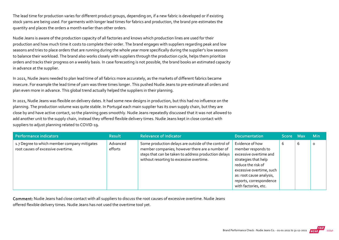The lead time for production varies for different product groups, depending on, if a new fabric is developed or if existing stock yarns are being used. For garments with longer lead times for fabrics and production, the brand pre‐estimates the quantity and places the orders a month earlier than other orders.

Nudie Jeans is aware of the production capacity of all factories and knows which production lines are used for their production and how much time it costs to complete their order. The brand engages with suppliers regarding peak and low seasons and tries to place orders that are running during the whole year more specifically during the supplier's low seasons to balance their workload. The brand also works closely with suppliers through the production cycle, helps them prioritize orders and tracks their progress on a weekly basis. In case forecasting is not possible, the brand books an estimated capacity in advance at the supplier.

In 2021, Nudie Jeans needed to plan lead time of all fabrics more accurately, as the markets of different fabrics became insecure. For example the lead time of yarn was three times longer. This pushed Nudie Jeans to pre‐estimate all orders and plan even more in advance. This global trend actually helped the suppliers in their planning.

In 2021, Nudie Jeans was flexible on delivery dates. It had some new designs in production, but this had no influence on the planning. The production volume was quite stable. In Portugal each main supplier has its own supply chain, but they are close by and have active contact, so the planning goes smoothly. Nudie Jeans repeatedly discussed that it was not allowed to add another unit to the supply chain, instead they offered flexible delivery times. Nudie Jeans kept in close contact with suppliers to adjust planning related to COVID‐19.

| Performance indicators                                                             | <b>Result</b>       | <b>Relevance of Indicator</b>                                                                                                                                                                               | <b>Documentation</b>                                                                                                                                                                                                     | Score Max |   | <b>Min</b> |
|------------------------------------------------------------------------------------|---------------------|-------------------------------------------------------------------------------------------------------------------------------------------------------------------------------------------------------------|--------------------------------------------------------------------------------------------------------------------------------------------------------------------------------------------------------------------------|-----------|---|------------|
| 1.7 Degree to which member company mitigates<br>root causes of excessive overtime. | Advanced<br>efforts | Some production delays are outside of the control of<br>member companies; however there are a number of<br>steps that can be taken to address production delays<br>without resorting to excessive overtime. | Evidence of how<br>member responds to<br>excessive overtime and<br>strategies that help<br>reduce the risk of<br>excessive overtime, such<br>as: root cause analysis,<br>reports, correspondence<br>with factories, etc. | b         | 6 | $\circ$    |

Comment: Nudie Jeans had close contact with all suppliers to discuss the root causes of excessive overtime. Nudie Jeans

offered flexible delivery times. Nudie Jeans has not used the overtime tool yet.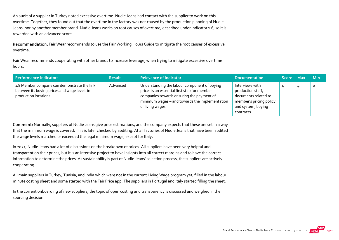An audit of a supplier in Turkey noted excessive overtime. Nudie Jeans had contact with the supplier to work on this overtime. Together, they found out that the overtime in the factory was not caused by the production planning of Nudie Jeans, nor by another member brand. Nudie Jeans works on root causes of overtime, described under indicator 1.6, so it is rewarded with an advanced score.

Recommendation: Fair Wear recommends to use the Fair Working Hours Guide to mitigate the root causes of excessive overtime.

Fair Wear recommends cooperating with other brands to increase leverage, when trying to mitigate excessive overtime hours.

| Performance indicators                                                                                               | <b>Result</b> | <b>Relevance of Indicator</b>                                                                                                                                                                                   | <b>Documentation</b>                                                                                                        | Score Max | <b>Min</b> |
|----------------------------------------------------------------------------------------------------------------------|---------------|-----------------------------------------------------------------------------------------------------------------------------------------------------------------------------------------------------------------|-----------------------------------------------------------------------------------------------------------------------------|-----------|------------|
| 1.8 Member company can demonstrate the link<br>between its buying prices and wage levels in<br>production locations. | Advanced      | Understanding the labour component of buying<br>prices is an essential first step for member<br>companies towards ensuring the payment of<br>minimum wages - and towards the implementation<br>of living wages. | Interviews with<br>production staff,<br>documents related to<br>member's pricing policy<br>and system, buying<br>contracts. |           | $\circ$    |

Comment: Normally, suppliers of Nudie Jeans give price estimations, and the company expects that these are set in a way that the minimum wage is covered. This is later checked by auditing. At all factories of Nudie Jeans that have been audited the wage levels matched or exceeded the legal minimum wage, except for Italy.

In 2021, Nudie Jeans had a lot of discussions on the breakdown of prices. All suppliers have been very helpful and transparent on their prices, but it is an intensive project to have insights into all correct margins and to have the correct information to determine the prices. As sustainability is part of Nudie Jeans' selection process, the suppliers are actively cooperating.

All main suppliers in Turkey, Tunisia, and India which were not in the current Living Wage program yet, filled in the labour minute costing sheet and some started with the Fair Price app. The suppliers in Portugal and Italy started filling the sheet.

In the current onboarding of new suppliers, the topic of open costing and transparency is discussed and weighed in the sourcing decision.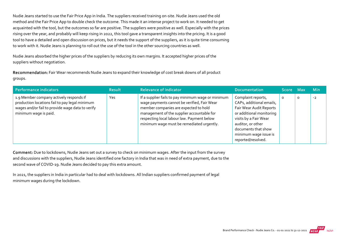Nudie Jeans started to use the Fair Price App in India. The suppliers received training on‐site. Nudie Jeans used the old method and the Fair Price App to double check the outcome. This made it an intense project to work on. It needed to get acquainted with the tool, but the outcomes so far are positive. The suppliers were positive as well. Especially with the prices rising over the year, and probably will keep rising in 2022, this tool gave a transparent insights into the pricing. It is a good tool to have a detailed and open discussion on prices, but it needs the support of the suppliers, as it is quite time consuming to work with it. Nudie Jeans is planning to roll out the use of the tool in the other sourcing countries as well.

Nudie Jeans absorbed the higher prices of the suppliers by reducing its own margins. It accepted higher prices of the suppliers without negotiation.

Recommendation: Fair Wear recommends Nudie Jeans to expand their knowledge of cost break downs of all product groups.

| Performance indicators                                                                                                                                                 | <b>Result</b> | <b>Relevance of Indicator</b>                                                                                                                                                                                                                                                       | <b>Documentation</b>                                                                                                                                                                                                      | Score Max |         | <b>Min</b> |
|------------------------------------------------------------------------------------------------------------------------------------------------------------------------|---------------|-------------------------------------------------------------------------------------------------------------------------------------------------------------------------------------------------------------------------------------------------------------------------------------|---------------------------------------------------------------------------------------------------------------------------------------------------------------------------------------------------------------------------|-----------|---------|------------|
| 1.9 Member company actively responds if<br>production locations fail to pay legal minimum<br>wages and/or fail to provide wage data to verify<br>minimum wage is paid. | Yes           | If a supplier fails to pay minimum wage or minimum<br>wage payments cannot be verified, Fair Wear<br>member companies are expected to hold<br>management of the supplier accountable for<br>respecting local labour law. Payment below<br>minimum wage must be remediated urgently. | Complaint reports,<br>CAPs, additional emails,<br>Fair Wear Audit Reports<br>or additional monitoring<br>visits by a Fair Wear<br>auditor, or other<br>documents that show<br>minimum wage issue is<br>reported/resolved. |           | $\circ$ | $-2$       |

Comment: Due to lockdowns, Nudie Jeans set out a survey to check on minimum wages. After the input from the survey and discussions with the suppliers, Nudie Jeans identified one factory in India that was in need of extra payment, due to the second wave of COVID‐19. Nudie Jeans decided to pay this extra amount.

In 2021, the suppliers in India in particular had to deal with lockdowns. All Indian suppliers confirmed payment of legal minimum wages during the lockdown.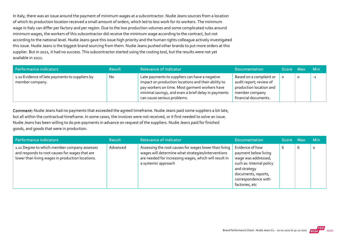In Italy, there was an issue around the payment of minimum wages at a subcontractor. Nudie Jeans sources from a location of which its production location received a small amount of orders, which led to less work for its workers. The minimum wage in Italy can differ per factory and per region. Due to the low production volumes and some complicated rules around minimum wages, the workers of this subcontractor did receive the minimum wage according to the contract, but not according to the national level. Nudie Jeans gave this issue high priority and the human rights colleague actively investigated this issue. Nudie Jeans is the biggest brand sourcing from them. Nudie Jeans pushed other brands to put more orders at this supplier. But in 2021, it had no success. This subcontractor started using the costing tool, but the results were not yet available in 2021.

| Performance indicators                                            | <b>Result</b> | <b>Relevance of Indicator</b>                                                                                                                                                                                                                 | <b>Documentation</b>                                                                                                    | Score Max |   | <b>Min</b> |
|-------------------------------------------------------------------|---------------|-----------------------------------------------------------------------------------------------------------------------------------------------------------------------------------------------------------------------------------------------|-------------------------------------------------------------------------------------------------------------------------|-----------|---|------------|
| 1.10 Evidence of late payments to suppliers by<br>member company. | No            | Late payments to suppliers can have a negative<br>impact on production locations and their ability to<br>pay workers on time. Most garment workers have<br>minimal savings, and even a brief delay in payments<br>can cause serious problems. | Based on a complaint or<br>audit report; review of<br>production location and<br>member company<br>financial documents. | 0         | 0 | $-1$       |

Comment: Nudie Jeans had no payments that exceeded the agreed timeframe. Nudie Jeans paid some suppliers a bit late, but all within the contractual timeframe. In some cases, the invoices were not received, or it first needed to solve an issue. Nudie Jeans has been willing to do pre‐payments in advance on request of the suppliers. Nudie Jeans paid for finished goods, and goods that were in production.

| Performance indicators                                                                                                                             | <b>Result</b> | <b>Relevance of Indicator</b>                                                                                                                                                               | <b>Documentation</b>                                                                                                                                                       | Score Max |   | <b>Min</b> |
|----------------------------------------------------------------------------------------------------------------------------------------------------|---------------|---------------------------------------------------------------------------------------------------------------------------------------------------------------------------------------------|----------------------------------------------------------------------------------------------------------------------------------------------------------------------------|-----------|---|------------|
| 1.11 Degree to which member company assesses<br>and responds to root causes for wages that are<br>lower than living wages in production locations. | Advanced      | Assessing the root causes for wages lower than living<br>wages will determine what strategies/interventions<br>are needed for increasing wages, which will result in<br>a systemic approach | Evidence of how<br>payment below living<br>wage was addressed,<br>such as: Internal policy<br>and strategy<br>documents, reports,<br>correspondence with<br>factories, etc | b         | 6 | $\circ$    |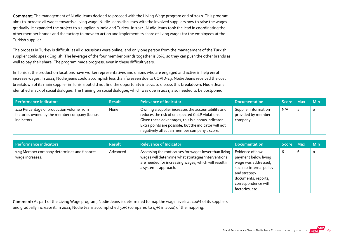Comment: The management of Nudie Jeans decided to proceed with the Living Wage program end of 2020. This program aims to increase all wages towards a living wage. Nudie Jeans discusses with the involved suppliers how to raise the wages gradually. It expanded the project to a supplier in India and Turkey. In 2021, Nudie Jeans took the lead in coordinating the other member brands and the factory to move to action and implement its share of living wages for the employees at the Turkish supplier.

The process in Turkey is difficult, as all discussions were online, and only one person from the management of the Turkish supplier could speak English. The leverage of the four member brands together is 80%, so they can push the other brands as well to pay their share. The program made progress, even in these difficult years.

In Tunisia, the production locations have worker representatives and unions who are engaged and active in help enrol increase wages. In 2021, Nudie jeans could accomplish less than foreseen due to COVID‐19. Nudie Jeans received the cost breakdown of its main supplier in Tunisia but did not find the opportunity in 2021 to discuss this breakdown. Nudie Jeans identified a lack of social dialogue. The training on social dialogue, which was due in 2021, also needed to be postponed.

| Performance indicators                                                                                   | <b>Result</b> | <b>Relevance of Indicator</b>                                                                                                                                                                                                                                        | <b>Documentation</b>                                   | Score Max | <b>Min</b> |
|----------------------------------------------------------------------------------------------------------|---------------|----------------------------------------------------------------------------------------------------------------------------------------------------------------------------------------------------------------------------------------------------------------------|--------------------------------------------------------|-----------|------------|
| 1.12 Percentage of production volume from<br>factories owned by the member company (bonus<br>indicator). | None          | Owning a supplier increases the accountability and<br>reduces the risk of unexpected CoLP violations.<br>Given these advantages, this is a bonus indicator.<br>Extra points are possible, but the indicator will not<br>negatively affect an member company's score. | Supplier information<br>provided by member<br>company. | N/A       | $\circ$    |

| Performance indicators                                         | <b>Result</b> | <b>Relevance of Indicator</b>                                                                                                                                                                | <b>Documentation</b>                                                                                                                                                        | Score Max |   | <b>Min</b> |
|----------------------------------------------------------------|---------------|----------------------------------------------------------------------------------------------------------------------------------------------------------------------------------------------|-----------------------------------------------------------------------------------------------------------------------------------------------------------------------------|-----------|---|------------|
| 1.13 Member company determines and finances<br>wage increases. | Advanced      | Assessing the root causes for wages lower than living<br>wages will determine what strategies/interventions<br>are needed for increasing wages, which will result in<br>a systemic approach. | Evidence of how<br>payment below living<br>wage was addressed,<br>such as: internal policy<br>and strategy<br>documents, reports,<br>correspondence with<br>factories, etc. | b         | b | $\Omega$   |

Comment: As part of the Living Wage program, Nudie Jeans is determined to map the wage levels at 100% of its suppliers and gradually increase it. In 2021, Nudie Jeans accomplished 50% (compared to 47% in 2020) of the mapping.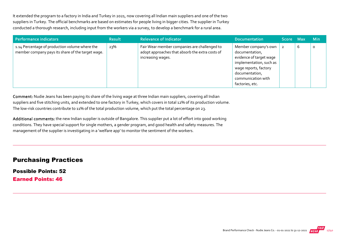It extended the program to a factory in India and Turkey in 2021, now covering all Indian main suppliers and one of the two suppliers in Turkey. The official benchmarks are based on estimates for people living in bigger cities. The supplier in Turkey conducted a thorough research, including input from the workers via a survey, to develop a benchmark for a rural area.

| Performance indicators                                                                              | <b>Result</b> | <b>Relevance of Indicator</b>                                                                                        | <b>Documentation</b>                                                                                                                                                             | Score Max |   | Min     |
|-----------------------------------------------------------------------------------------------------|---------------|----------------------------------------------------------------------------------------------------------------------|----------------------------------------------------------------------------------------------------------------------------------------------------------------------------------|-----------|---|---------|
| 1.14 Percentage of production volume where the<br>member company pays its share of the target wage. | 23%           | Fair Wear member companies are challenged to<br>adopt approaches that absorb the extra costs of<br>increasing wages. | Member company's own<br>documentation,<br>evidence of target wage<br>implementation, such as<br>wage reports, factory<br>documentation,<br>communication with<br>factories, etc. |           | 6 | $\circ$ |

Comment: Nudie Jeans has been paying its share of the living wage at three Indian main suppliers, covering all Indian suppliers and five stitching units, and extended to one factory in Turkey, which covers in total 12% of its production volume. The low‐risk countries contribute to 11% of the total production volume, which put the total percentage on 23.

Additional comments: the new Indian supplier is outside of Bangalore. This supplier put a lot of effort into good working conditions. They have special support for single mothers, a gender program, and good health and safety measures. The management of the supplier is investigating in a 'welfare app' to monitor the sentiment of the workers.

#### Purchasing Practices

Possible Points: 52

Earned Points: 46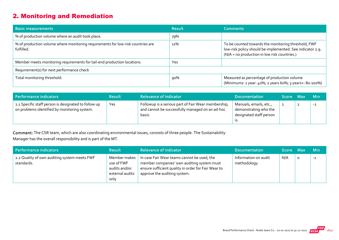## 2. Monitoring and Remediation

| <b>Basic measurements</b>                                                                     | <b>Result</b> | <b>Comments</b>                                                                                                                                                  |
|-----------------------------------------------------------------------------------------------|---------------|------------------------------------------------------------------------------------------------------------------------------------------------------------------|
| % of production volume where an audit took place.                                             | 79%           |                                                                                                                                                                  |
| % of production volume where monitoring requirements for low-risk countries are<br>fulfilled. | 11%           | To be counted towards the monitoring threshold, FWF<br>low-risk policy should be implemented. See indicator 2.9.<br>(N/A = no production in low risk countries.) |
| Member meets monitoring requirements for tail-end production locations.                       | Yes           |                                                                                                                                                                  |
| Requirement(s) for next performance check                                                     |               |                                                                                                                                                                  |
| Total monitoring threshold:                                                                   | 90%           | Measured as percentage of production volume<br>(Minimums: 1 year: 40%; 2 years 60%; 3 years+: 80-100%)                                                           |

| Performance indicators                                                                               | <b>Result</b> | <b>Relevance of Indicator</b>                                                                                    | <b>Documentation</b>                                                              | Score Max |                | <b>Min</b> |
|------------------------------------------------------------------------------------------------------|---------------|------------------------------------------------------------------------------------------------------------------|-----------------------------------------------------------------------------------|-----------|----------------|------------|
| 2.1 Specific staff person is designated to follow up<br>on problems identified by monitoring system. | Yes           | Followup is a serious part of Fair Wear membership,<br>and cannot be successfully managed on an ad-hoc<br>basis. | Manuals, emails, etc.,<br>demonstrating who the<br>designated staff person<br>15. |           | $\overline{2}$ | $-2$       |

Comment: The CSR team, which are also coordinating environmental issues, consists of three people. The Sustainability Manager has the overall responsibility and is part of the MT.

| Performance indicators                                     | <b>Result</b>                                                            | <b>Relevance of Indicator</b>                                                                                                                                                    | Documentation                        | Score Max |          | <b>Min</b> |
|------------------------------------------------------------|--------------------------------------------------------------------------|----------------------------------------------------------------------------------------------------------------------------------------------------------------------------------|--------------------------------------|-----------|----------|------------|
| 2.2 Quality of own auditing system meets FWF<br>standards. | Member makes 1<br>use of FWF<br>audits and/or<br>external audits<br>only | In case Fair Wear teams cannot be used, the<br>member companies' own auditing system must<br>ensure sufficient quality in order for Fair Wear to<br>approve the auditing system. | Information on audit<br>methodology. | N/A       | $\Omega$ | $-1$       |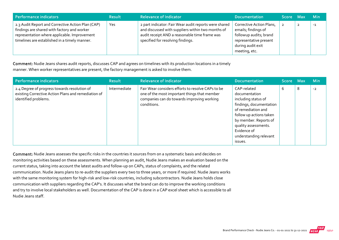| Performance indicators                                                                                                                                                                            | <b>Result</b> | <b>Relevance of Indicator</b>                                                                                                                                                                    | <b>Documentation</b>                                                                                                                      | Score Max | <b>Min</b> |
|---------------------------------------------------------------------------------------------------------------------------------------------------------------------------------------------------|---------------|--------------------------------------------------------------------------------------------------------------------------------------------------------------------------------------------------|-------------------------------------------------------------------------------------------------------------------------------------------|-----------|------------|
| 2.3 Audit Report and Corrective Action Plan (CAP)<br>findings are shared with factory and worker<br>representation where applicable. Improvement<br>timelines are established in a timely manner. | Yes           | 2 part indicator: Fair Wear audit reports were shared<br>and discussed with suppliers within two months of<br>audit receipt AND a reasonable time frame was<br>specified for resolving findings. | Corrective Action Plans,<br>emails; findings of<br>followup audits; brand<br>representative present<br>during audit exit<br>meeting, etc. |           | $-1$       |

Comment: Nudie Jeans shares audit reports, discusses CAP and agrees on timelines with its production locations in a timely manner. When worker representatives are present, the factory management is asked to involve them.

| Performance indicators                                                                                                      | <b>Result</b> | <b>Relevance of Indicator</b>                                                                                                                                  | <b>Documentation</b>                                                                                                                                                                                                                 | Score Max |   | <b>Min</b> |
|-----------------------------------------------------------------------------------------------------------------------------|---------------|----------------------------------------------------------------------------------------------------------------------------------------------------------------|--------------------------------------------------------------------------------------------------------------------------------------------------------------------------------------------------------------------------------------|-----------|---|------------|
| 2.4 Degree of progress towards resolution of<br>existing Corrective Action Plans and remediation of<br>identified problems. | Intermediate  | Fair Wear considers efforts to resolve CAPs to be<br>one of the most important things that member<br>companies can do towards improving working<br>conditions. | CAP-related<br>documentation<br>including status of<br>findings, documentation<br>of remediation and<br>follow up actions taken<br>by member. Reports of<br>quality assessments.<br>Evidence of<br>understanding relevant<br>issues. | 6         | 8 | $-2$       |

Comment: Nudie Jeans assesses the specific risks in the countries it sources from on a systematic basis and decides on monitoring activities based on these assessments. When planning an audit, Nudie Jeans makes an evaluation based on the current status, taking into account the latest audits and follow‐up on CAPs, status of complaints, and the related communication. Nudie Jeans plans to re‐audit the suppliers every two to three years, or more if required. Nudie Jeans works with the same monitoring system for high-risk and low-risk countries, including subcontractors. Nudie Jeans holds close communication with suppliers regarding the CAP's. It discusses what the brand can do to improve the working conditions and try to involve local stakeholders as well. Documentation of the CAP is done in a CAP excel sheet which is accessible to all Nudie Jeans staff.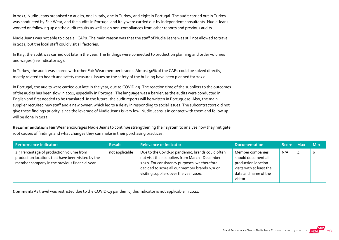In 2021, Nudie Jeans organised 10 audits, one in Italy, one in Turkey, and eight in Portugal. The audit carried out in Turkey was conducted by Fair Wear, and the audits in Portugal and Italy were carried out by independent consultants. Nudie Jeans worked on following up on the audit results as well as on non-compliances from other reports and previous audits.

Nudie Jeans was not able to close all CAPs. The main reason was that the staff of Nudie Jeans was still not allowed to travel in 2021, but the local staff could visit all factories.

In Italy, the audit was carried out late in the year. The findings were connected to production planning and order volumes and wages (see indicator 1.9).

In Turkey, the audit was shared with other Fair Wear member brands. Almost 50% of the CAPs could be solved directly, mostly related to health and safety measures. Issues on the safety of the building have been planned for 2022.

In Portugal, the audits were carried out late in the year, due to COVID‐19. The reaction time of the suppliers to the outcomes of the audits has been slow in 2021, especially in Portugal. The language was a barrier, as the audits were conducted in English and first needed to be translated. In the future, the audit reports will be written in Portuguese. Also, the main supplier recruited new staff and a new owner, which led to a delay in responding to social issues. The subcontractors did not give these findings priority, since the leverage of Nudie Jeans is very low. Nudie Jeans is in contact with them and follow up will be done in 2022.

Recommendation: Fair Wear encourages Nudie Jeans to continue strengthening their system to analyse how they mitigate root causes of findings and what changes they can make in their purchasing practices.

| <b>Performance indicators</b>                                                                                                                    | <b>Result</b>  | <b>Relevance of Indicator</b>                                                                                                                                                                                                                  | <b>Documentation</b>                                                                                                           | اScore Max ا | <b>Min</b> |
|--------------------------------------------------------------------------------------------------------------------------------------------------|----------------|------------------------------------------------------------------------------------------------------------------------------------------------------------------------------------------------------------------------------------------------|--------------------------------------------------------------------------------------------------------------------------------|--------------|------------|
| 2.5 Percentage of production volume from<br>production locations that have been visited by the<br>member company in the previous financial year. | not applicable | Due to the Covid-19 pandemic, brands could often<br>not visit their suppliers from March - December<br>2020. For consistency purposes, we therefore<br>decided to score all our member brands N/A on<br>visiting suppliers over the year 2020. | Member companies<br>should document all<br>production location<br>visits with at least the<br>date and name of the<br>visitor. | N/A          | 0          |

Comment: As travel was restricted due to the COVID‐19 pandemic, this indicator is not applicable in 2021.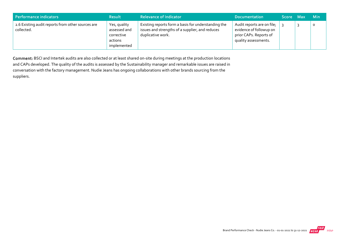| Performance indicators                                          | <b>Result</b>                                                        | <b>Relevance of Indicator</b>                                                                                               | <b>Documentation</b>                                                                                    | <b>Score</b> | Max | <b>Min</b> |
|-----------------------------------------------------------------|----------------------------------------------------------------------|-----------------------------------------------------------------------------------------------------------------------------|---------------------------------------------------------------------------------------------------------|--------------|-----|------------|
| 2.6 Existing audit reports from other sources are<br>collected. | Yes, quality<br>assessed and<br>corrective<br>actions<br>implemented | Existing reports form a basis for understanding the<br>issues and strengths of a supplier, and reduces<br>duplicative work. | Audit reports are on file;<br>evidence of followup on<br>prior CAPs. Reports of<br>quality assessments. |              |     | O          |

Comment: BSCI and Intertek audits are also collected or at least shared on‐site during meetings at the production locations and CAPs developed. The quality of the audits is assessed by the Sustainability manager and remarkable issues are raised in conversation with the factory management. Nudie Jeans has ongoing collaborations with other brands sourcing from the suppliers.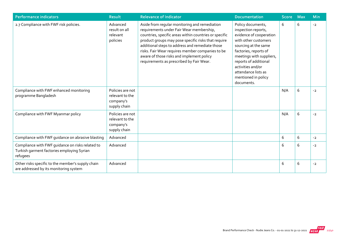| <b>Performance indicators</b>                                                                              | <b>Result</b>                                                    | <b>Relevance of Indicator</b>                                                                                                                                                                                                                                                                                                                                                                              | <b>Documentation</b>                                                                                                                                                                                                                                                               | Score | <b>Max</b> | <b>Min</b> |
|------------------------------------------------------------------------------------------------------------|------------------------------------------------------------------|------------------------------------------------------------------------------------------------------------------------------------------------------------------------------------------------------------------------------------------------------------------------------------------------------------------------------------------------------------------------------------------------------------|------------------------------------------------------------------------------------------------------------------------------------------------------------------------------------------------------------------------------------------------------------------------------------|-------|------------|------------|
| 2.7 Compliance with FWF risk policies.                                                                     | Advanced<br>result on all<br>relevant<br>policies                | Aside from regular monitoring and remediation<br>requirements under Fair Wear membership,<br>countries, specific areas within countries or specific<br>product groups may pose specific risks that require<br>additional steps to address and remediate those<br>risks. Fair Wear requires member companies to be<br>aware of those risks and implement policy<br>requirements as prescribed by Fair Wear. | Policy documents,<br>inspection reports,<br>evidence of cooperation<br>with other customers<br>sourcing at the same<br>factories, reports of<br>meetings with suppliers,<br>reports of additional<br>activities and/or<br>attendance lists as<br>mentioned in policy<br>documents. | 6     | 6          | $-2$       |
| Compliance with FWF enhanced monitoring<br>programme Bangladesh                                            | Policies are not<br>relevant to the<br>company's<br>supply chain |                                                                                                                                                                                                                                                                                                                                                                                                            |                                                                                                                                                                                                                                                                                    | N/A   | 6          | $-2$       |
| Compliance with FWF Myanmar policy                                                                         | Policies are not<br>relevant to the<br>company's<br>supply chain |                                                                                                                                                                                                                                                                                                                                                                                                            |                                                                                                                                                                                                                                                                                    | N/A   | 6          | $-2$       |
| Compliance with FWF guidance on abrasive blasting                                                          | Advanced                                                         |                                                                                                                                                                                                                                                                                                                                                                                                            |                                                                                                                                                                                                                                                                                    | 6     | 6          | $-2$       |
| Compliance with FWF guidance on risks related to<br>Turkish garment factories employing Syrian<br>refugees | Advanced                                                         |                                                                                                                                                                                                                                                                                                                                                                                                            |                                                                                                                                                                                                                                                                                    | 6     | 6          | $-2$       |
| Other risks specific to the member's supply chain<br>are addressed by its monitoring system                | Advanced                                                         |                                                                                                                                                                                                                                                                                                                                                                                                            |                                                                                                                                                                                                                                                                                    | 6     | 6          | $-2$       |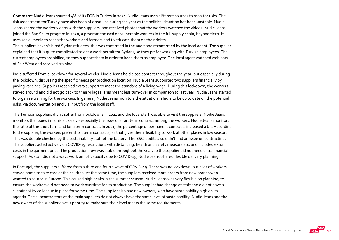Comment: Nudie Jeans sourced 4% of its FOB in Turkey in 2021. Nudie Jeans uses different sources to monitor risks. The risk assessment for Turkey have also been of great use during the year as the political situation has been unstable. Nudie Jeans shared the worker videos with the suppliers, and received photos that the workers watched the videos. Nudie Jeans joined the Sag Salim program in 2020, a program focused on vulnerable workers in the full supply chain, beyond tier 1. It uses social media to reach the workers and farmers and to educate them on their rights.

The suppliers haven't hired Syrian refugees, this was confirmed in the audit and reconfirmed by the local agent. The supplier explained that it is quite complicated to get a work permit for Syrians, so they prefer working with Turkish employees. The current employees are skilled, so they support them in order to keep them as employee. The local agent watched webinars of Fair Wear and received training.

India suffered from a lockdown for several weeks. Nudie Jeans held close contact throughout the year, but especially during the lockdown, discussing the specific needs per production location. Nudie Jeans supported two suppliers financially by paying vaccines. Suppliers received extra support to meet the standard of a living wage. During this lockdown, the workers stayed around and did not go back to their villages. This meant less turn‐over in comparison to last year. Nudie Jeans started to organise training for the workers. In general, Nudie Jeans monitors the situation in India to be up to date on the potential risks, via documentation and via input from the local staff.

The Tunisian suppliers didn't suffer from lockdowns in 2021 and the local staff was able to visit the suppliers. Nudie Jeans monitors the issues in Tunisia closely ‐ especially the issue of short term contract among the workers. Nudie Jeans monitors the ratio of the short term and long term contract. In 2021, the percentage of permanent contracts increased a bit. According to the supplier, the workers prefer short term contracts, as that gives them flexibility to work at other places in low season. This was double checked by the sustainability staff of the factory. The BSCI audits also didn't find an issue on contracting. The suppliers acted actively on COVID‐19 restrictions with distancing, health and safety measure etc. and included extra costs in the garment price. The production flow was stable throughout the year, so the supplier did not need extra financial support. As staff did not always work on full capacity due to COVID‐19, Nudie Jeans offered flexible delivery planning.

In Portugal, the suppliers suffered from a third and fourth wave of COVID‐19. There was no lockdown, but a lot of workers stayed home to take care of the children. At the same time, the suppliers received more orders from new brands who wanted to source in Europe. This caused high peaks in the summer season. Nudie Jeans was very flexible on planning, to ensure the workers did not need to work overtime for its production. The supplier had change of staff and did not have a sustainability colleague in place for some time. The supplier also had new owners, who have sustainability high on its agenda. The subcontractors of the main suppliers do not always have the same level of sustainability. Nudie Jeans and the new owner of the supplier gave it priority to make sure their level meets the same requirements.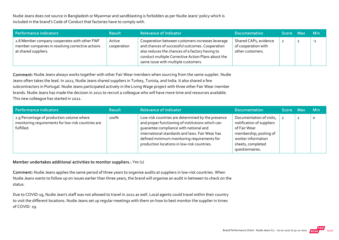Nudie Jeans does not source in Bangladesh or Myanmar and sandblasting is forbidden as per Nudie Jeans' policy which is included in the brand's Code of Conduct that factories have to comply with.

| Performance indicators                                                                                                   | <b>Result</b>         | <b>Relevance of Indicator</b>                                                                                                                                                                                                                       | <b>Documentation</b>                                             | Score Max |                | <b>Min</b> |
|--------------------------------------------------------------------------------------------------------------------------|-----------------------|-----------------------------------------------------------------------------------------------------------------------------------------------------------------------------------------------------------------------------------------------------|------------------------------------------------------------------|-----------|----------------|------------|
| 2.8 Member company cooperates with other FWF<br>member companies in resolving corrective actions<br>at shared suppliers. | Active<br>cooperation | Cooperation between customers increases leverage<br>and chances of successful outcomes. Cooperation<br>also reduces the chances of a factory having to<br>conduct multiple Corrective Action Plans about the<br>same issue with multiple customers. | Shared CAPs, evidence<br>of cooperation with<br>other customers. |           | $\overline{2}$ | -1         |

Comment: Nudie Jeans always works together with other Fair Wear members when sourcing from the same supplier. Nudie Jeans often takes the lead. In 2021, Nudie Jeans shared suppliers in Turkey, Tunisia, and India. It also shared a few subcontractors in Portugal. Nudie Jeans participated actively in the Living Wage project with three other Fair Wear member brands. Nudie Jeans has made the decision in 2021 to recruit a colleague who will have more time and resources available. This new colleague has started in 2022.

| Performance indicators                                                                                        | <b>Result</b> | <b>Relevance of Indicator</b>                                                                                                                                                                                                                                                                    | <b>Documentation</b>                                                                                                                                          | Score Max | <b>Min</b> |
|---------------------------------------------------------------------------------------------------------------|---------------|--------------------------------------------------------------------------------------------------------------------------------------------------------------------------------------------------------------------------------------------------------------------------------------------------|---------------------------------------------------------------------------------------------------------------------------------------------------------------|-----------|------------|
| 2.9 Percentage of production volume where<br>monitoring requirements for low-risk countries are<br>fulfilled. | 100%          | Low-risk countries are determined by the presence<br>and proper functioning of institutions which can<br>quarantee compliance with national and<br>international standards and laws. Fair Wear has<br>defined minimum monitoring requirements for<br>production locations in low-risk countries. | Documentation of visits,<br>notification of suppliers<br>of Fair Wear<br>membership; posting of<br>worker information<br>sheets, completed<br>questionnaires. |           | $\circ$    |

#### Member undertakes additional activities to monitor suppliers.: Yes (1)

Comment: Nudie Jeans applies the same period of three years to organise audits at suppliers in low-risk countries. When Nudie Jeans wants to follow up on issues earlier than three years, the brand will organise an audit in between to check on the status.

Due to COVID-19, Nudie Jean's staff was not allowed to travel in 2021 as well. Local agents could travel within their country to visit the different locations. Nudie Jeans set up regular meetings with them on how to best monitor the supplier in times of COVID‐ 19.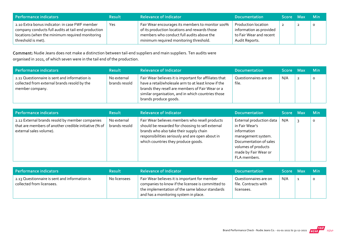| Performance indicators                                                                                                                                                         | <b>Result</b> | <b>Relevance of Indicator</b>                                                                                                                                                            | <b>Documentation</b>                                                                               | Score Max | <b>Min</b> |
|--------------------------------------------------------------------------------------------------------------------------------------------------------------------------------|---------------|------------------------------------------------------------------------------------------------------------------------------------------------------------------------------------------|----------------------------------------------------------------------------------------------------|-----------|------------|
| 2.10 Extra bonus indicator: in case FWF member<br>company conducts full audits at tail-end production<br>locations (when the minimum required monitoring<br>threshold is met). | Yes           | Fair Wear encourages its members to monitor 100%<br>of its production locations and rewards those<br>members who conduct full audits above the<br>minimum required monitoring threshold. | <b>Production location</b><br>information as provided<br>to Fair Wear and recent<br>Audit Reports. | ∠         |            |

Comment: Nudie Jeans does not make a distinction between tail‐end suppliers and main suppliers. Ten audits were organised in 2021, of which seven were in the tail end of the production.

| Performance indicators                                                                                           | <b>Result</b>                | <b>Relevance of Indicator</b>                                                                                                                                                                                                                    | <b>Documentation</b>           | Score Max | <b>Min</b> |
|------------------------------------------------------------------------------------------------------------------|------------------------------|--------------------------------------------------------------------------------------------------------------------------------------------------------------------------------------------------------------------------------------------------|--------------------------------|-----------|------------|
| 2.11 Questionnaire is sent and information is<br>collected from external brands resold by the<br>member company. | No external<br>brands resold | Fair Wear believes it is important for affiliates that<br>have a retail/wholesale arm to at least know if the<br>brands they resell are members of Fair Wear or a<br>similar organisation, and in which countries those<br>brands produce goods. | Questionnaires are on<br>file. | N/A       |            |

| Performance indicators                                                                                                              | <b>Result</b>                | <b>Relevance of Indicator</b>                                                                                                                                                                                                            | <b>Documentation</b>                                                                                                                                                     | Score Max | <b>Min</b> |
|-------------------------------------------------------------------------------------------------------------------------------------|------------------------------|------------------------------------------------------------------------------------------------------------------------------------------------------------------------------------------------------------------------------------------|--------------------------------------------------------------------------------------------------------------------------------------------------------------------------|-----------|------------|
| 2.12 External brands resold by member companies<br>that are members of another credible initiative (% of<br>external sales volume). | No external<br>brands resold | Fair Wear believes members who resell products<br>should be rewarded for choosing to sell external<br>brands who also take their supply chain<br>responsibilities seriously and are open about in<br>which countries they produce goods. | External production data<br>in Fair Wear's<br>information<br>management system.<br>Documentation of sales<br>volumes of products<br>made by Fair Wear or<br>FLA members. | N/A       | $\circ$    |

| Performance indicators                                                     | <b>Result</b> | <b>Relevance of Indicator</b>                                                                                                                                                                  | <b>Documentation</b>                                        | <b>Score</b> | - Max | - Min |
|----------------------------------------------------------------------------|---------------|------------------------------------------------------------------------------------------------------------------------------------------------------------------------------------------------|-------------------------------------------------------------|--------------|-------|-------|
| 2.13 Questionnaire is sent and information is<br>collected from licensees. | No licensees  | Fair Wear believes it is important for member<br>companies to know if the licensee is committed to<br>the implementation of the same labour standards<br>and has a monitoring system in place. | Questionnaires are on<br>file. Contracts with<br>licensees. | N/A          |       | 0     |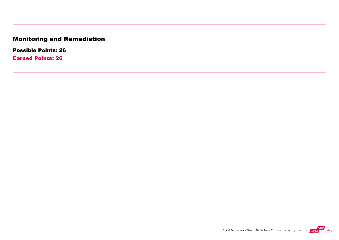# Monitoring and Remediation

Possible Points: 26

Earned Points: 26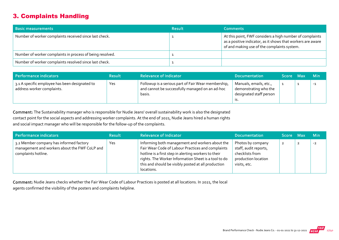## 3. Complaints Handling

| <b>Basic measurements</b>                                 | <b>Result</b> | <b>Comments</b>                                                                                                                                                        |
|-----------------------------------------------------------|---------------|------------------------------------------------------------------------------------------------------------------------------------------------------------------------|
| Number of worker complaints received since last check.    |               | At this point, FWF considers a high number of complaints<br>as a positive indicator, as it shows that workers are aware<br>of and making use of the complaints system. |
| Number of worker complaints in process of being resolved. |               |                                                                                                                                                                        |
| Number of worker complaints resolved since last check.    |               |                                                                                                                                                                        |

| Performance indicators                                                       | <b>Result</b> | <b>Relevance of Indicator</b>                                                                                    | <b>Documentation</b>                                                              | Score Max | <b>Min</b> |
|------------------------------------------------------------------------------|---------------|------------------------------------------------------------------------------------------------------------------|-----------------------------------------------------------------------------------|-----------|------------|
| 3.1 A specific employee has been designated to<br>address worker complaints. | Yes           | Followup is a serious part of Fair Wear membership,<br>and cannot be successfully managed on an ad-hoc<br>basis. | Manuals, emails, etc.,<br>demonstrating who the<br>designated staff person<br>15. |           | $-1$       |

Comment: The Sustainability manager who is responsible for Nudie Jeans' overall sustainability work is also the designated contact point for the social aspects and addressing worker complaints. At the end of 2021, Nudie Jeans hired a human rights and social impact manager who will be responsible for the follow-up of the complaints.

| Performance indicators                                                                                          | <b>Result</b> | <b>Relevance of Indicator</b>                                                                                                                                                                                                                                                             | <b>Documentation</b>                                                                                 | Score Max      | <b>Min</b> |
|-----------------------------------------------------------------------------------------------------------------|---------------|-------------------------------------------------------------------------------------------------------------------------------------------------------------------------------------------------------------------------------------------------------------------------------------------|------------------------------------------------------------------------------------------------------|----------------|------------|
| 3.2 Member company has informed factory<br>management and workers about the FWF CoLP and<br>complaints hotline. | Yes           | Informing both management and workers about the<br>Fair Wear Code of Labour Practices and complaints<br>hotline is a first step in alerting workers to their<br>rights. The Worker Information Sheet is a tool to do<br>this and should be visibly posted at all production<br>locations. | Photos by company<br>staff, audit reports,<br>checklists from<br>production location<br>visits, etc. | $\overline{2}$ | $-2$       |

Comment: Nudie Jeans checks whether the Fair Wear Code of Labour Practices is posted at all locations. In 2021, the local agents confirmed the visibility of the posters and complaints helpline.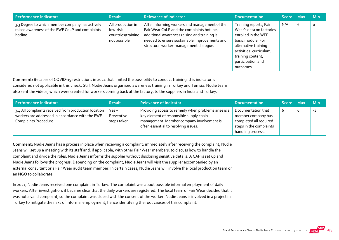| <b>Performance indicators</b>                                                                                  | <b>Result</b>                                                       | <b>Relevance of Indicator</b>                                                                                                                                                                                                          | <b>Documentation</b>                                                                                                                                                                                     | Score Max |   | <b>Min</b> |
|----------------------------------------------------------------------------------------------------------------|---------------------------------------------------------------------|----------------------------------------------------------------------------------------------------------------------------------------------------------------------------------------------------------------------------------------|----------------------------------------------------------------------------------------------------------------------------------------------------------------------------------------------------------|-----------|---|------------|
| 3.3 Degree to which member company has actively<br>raised awareness of the FWF CoLP and complaints<br>hotline. | All production in<br>low-risk<br>countries/training<br>not possible | After informing workers and management of the<br>Fair Wear CoLP and the complaints hotline,<br>additional awareness raising and training is<br>needed to ensure sustainable improvements and<br>structural worker-management dialogue. | Training reports, Fair<br>Wear's data on factories<br>enrolled in the WEP<br>basic module. For<br>alternative training<br>activities: curriculum,<br>training content,<br>participation and<br>outcomes. | N/A       | 6 | $\circ$    |

Comment: Because of COVID-19 restrictions in 2021 that limited the possibility to conduct training, this indicator is considered not applicable in this check. Still, Nudie Jeans organised awareness training in Turkey and Tunisia. Nudie Jeans also sent the videos, which were created for workers coming back at the factory, to the suppliers in India and Turkey.

| Performance indicators                                                                                                            | <b>Result</b>                        | <b>Relevance of Indicator</b>                                                                                                                                                       | <b>Documentation</b>                                                                                               | Score Max |   | <b>Min</b> |
|-----------------------------------------------------------------------------------------------------------------------------------|--------------------------------------|-------------------------------------------------------------------------------------------------------------------------------------------------------------------------------------|--------------------------------------------------------------------------------------------------------------------|-----------|---|------------|
| 3.4 All complaints received from production location<br>workers are addressed in accordance with the FWF<br>Complaints Procedure. | $Yes +$<br>Preventive<br>steps taken | Providing access to remedy when problems arise is a<br>key element of responsible supply chain<br>management. Member company involvement is<br>often essential to resolving issues. | Documentation that<br>member company has<br>completed all required<br>steps in the complaints<br>handling process. |           | O | $-2$       |

Comment: Nudie Jeans has a process in place when receiving a complaint: immediately after receiving the complaint, Nudie Jeans will set up a meeting with its staff and, if applicable, with other Fair Wear members, to discuss how to handle the complaint and divide the roles. Nudie Jeans informs the supplier without disclosing sensitive details. A CAP is set up and Nudie Jeans follows the progress. Depending on the complaint, Nudie Jeans will visit the supplier accompanied by an external consultant or a Fair Wear audit team member. In certain cases, Nudie Jeans will involve the local production team or an NGO to collaborate.

In 2021, Nudie Jeans received one complaint in Turkey. The complaint was about possible informal employment of daily workers. After investigation, it became clear that the daily workers are registered. The local team of Fair Wear decided that it was not a valid complaint, so the complaint was closed with the consent of the worker. Nudie Jeans is involved in a project in Turkey to mitigate the risks of informal employment, hence identifying the root causes of this complaint.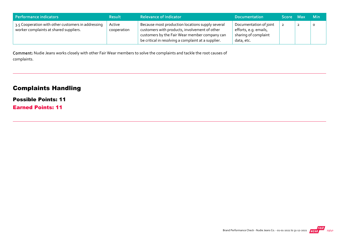| Performance indicators                                                                       | <b>Result</b>         | <b>Relevance of Indicator</b>                                                                                                                                                                             | <b>Documentation</b>                                                                  | Score Max |   | – Min   |
|----------------------------------------------------------------------------------------------|-----------------------|-----------------------------------------------------------------------------------------------------------------------------------------------------------------------------------------------------------|---------------------------------------------------------------------------------------|-----------|---|---------|
| 3.5 Cooperation with other customers in addressing<br>worker complaints at shared suppliers. | Active<br>cooperation | Because most production locations supply several<br>customers with products, involvement of other<br>customers by the Fair Wear member company can<br>be critical in resolving a complaint at a supplier. | Documentation of joint<br>efforts, e.g. emails,<br>sharing of complaint<br>data, etc. |           | ∠ | $\circ$ |

Comment: Nudie Jeans works closely with other Fair Wear members to solve the complaints and tackle the root causes of complaints.

## Complaints Handling

#### Possible Points: 11

Earned Points: 11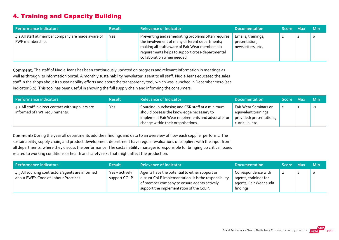## 4. Training and Capacity Building

| Performance indicators                                               | <b>Result</b> | <b>Relevance of Indicator</b>                                                                                                                                                                                                            | <b>Documentation</b>                                     | Score Max | <b>Min</b> |
|----------------------------------------------------------------------|---------------|------------------------------------------------------------------------------------------------------------------------------------------------------------------------------------------------------------------------------------------|----------------------------------------------------------|-----------|------------|
| 4.1 All staff at member company are made aware of<br>FWF membership. | <b>Yes</b>    | Preventing and remediating problems often requires<br>the involvement of many different departments;<br>making all staff aware of Fair Wear membership<br>requirements helps to support cross-departmental<br>collaboration when needed. | Emails, trainings,<br>presentation,<br>newsletters, etc. |           | O          |

Comment: The staff of Nudie Jeans has been continuously updated on progress and relevant information in meetings as well as through its information portal. A monthly sustainability newsletter is sent to all staff. Nudie Jeans educated the sales staff in the shops about its sustainability efforts and about the transparency tool, which was launched in December 2020 (see indicator 6.2). This tool has been useful in showing the full supply chain and informing the consumers.

| Performance indicators                                                              | <b>Result</b> | <b>Relevance of Indicator</b>                                                                                                                                                           | <b>Documentation</b>                                                                         | Score Max | <b>Min</b> |
|-------------------------------------------------------------------------------------|---------------|-----------------------------------------------------------------------------------------------------------------------------------------------------------------------------------------|----------------------------------------------------------------------------------------------|-----------|------------|
| 4.2 All staff in direct contact with suppliers are<br>informed of FWF requirements. | Yes           | Sourcing, purchasing and CSR staff at a minimum<br>should possess the knowledge necessary to<br>implement Fair Wear requirements and advocate for<br>change within their organisations. | Fair Wear Seminars or<br>equivalent trainings<br>provided; presentations,<br>curricula, etc. |           | $-1$       |

Comment: During the year all departments add their findings and data to an overview of how each supplier performs. The sustainability, supply chain, and product development department have regular evaluations of suppliers with the input from all departments, where they discuss the performance. The sustainability manager is responsible for bringing up critical issues related to working conditions or health and safety risks that might affect the production.

| Performance indicators                                                                    | <b>Result</b>                  | <b>Relevance of Indicator</b>                                                                                                                                                                     | <b>Documentation</b>                                                                 | Score Max | ⊟ Min |
|-------------------------------------------------------------------------------------------|--------------------------------|---------------------------------------------------------------------------------------------------------------------------------------------------------------------------------------------------|--------------------------------------------------------------------------------------|-----------|-------|
| 4.3 All sourcing contractors/agents are informed<br>about FWF's Code of Labour Practices. | Yes + actively<br>support COLP | Agents have the potential to either support or<br>disrupt CoLP implementation. It is the responsibility<br>of member company to ensure agents actively<br>support the implementation of the CoLP. | Correspondence with<br>agents, trainings for<br>agents, Fair Wear audit<br>findings. |           | 0     |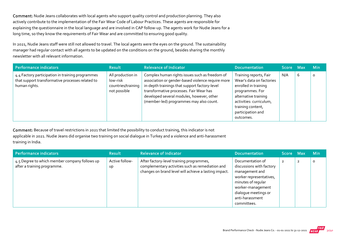Comment: Nudie Jeans collaborates with local agents who support quality control and production planning. They also actively contribute to the implementation of the Fair Wear Code of Labour Practices. These agents are responsible for explaining the questionnaire in the local language and are involved in CAP follow-up. The agents work for Nudie Jeans for a long time, so they know the requirements of Fair Wear and are committed to ensuring good quality.

In 2021, Nudie Jeans staff were still not allowed to travel. The local agents were the eyes on the ground. The sustainability manager had regular contact with all agents to be updated on the conditions on the ground, besides sharing the monthly newsletter with all relevant information.

| Performance indicators                                                                                                | <b>Result</b>                                                       | <b>Relevance of Indicator</b>                                                                                                                                                                                                                                                           | <b>Documentation</b>                                                                                                                                                                                    | Score Max |   | <b>Min</b> |
|-----------------------------------------------------------------------------------------------------------------------|---------------------------------------------------------------------|-----------------------------------------------------------------------------------------------------------------------------------------------------------------------------------------------------------------------------------------------------------------------------------------|---------------------------------------------------------------------------------------------------------------------------------------------------------------------------------------------------------|-----------|---|------------|
| 4.4 Factory participation in training programmes<br>that support transformative processes related to<br>human rights. | All production in<br>low-risk<br>countries/training<br>not possible | Complex human rights issues such as freedom of<br>association or gender-based violence require more<br>in-depth trainings that support factory-level<br>transformative processes. Fair Wear has<br>developed several modules, however, other<br>(member-led) programmes may also count. | Training reports, Fair<br>Wear's data on factories<br>enrolled in training<br>programmes. For<br>alternative training<br>activities: curriculum,<br>training content,<br>participation and<br>outcomes. | N/A       | 6 | $\circ$    |

Comment: Because of travel restrictions in 2021 that limited the possibility to conduct training, this indicator is not applicable in 2021. Nudie Jeans did organise two training on social dialogue in Turkey and a violence and anti‐harassment training in India.

| Performance indicators                                                       | <b>Result</b>        | <b>Relevance of Indicator</b>                                                                                                                         | <b>Documentation</b>                                                                                                                                                                           | Score Maxi     |                | <b>Min</b> |
|------------------------------------------------------------------------------|----------------------|-------------------------------------------------------------------------------------------------------------------------------------------------------|------------------------------------------------------------------------------------------------------------------------------------------------------------------------------------------------|----------------|----------------|------------|
| 4.5 Degree to which member company follows up<br>after a training programme. | Active follow-<br>Up | After factory-level training programmes,<br>complementary activities such as remediation and<br>changes on brand level will achieve a lasting impact. | Documentation of<br>discussions with factory<br>management and<br>worker representatives,<br>minutes of regular<br>worker-management<br>dialogue meetings or<br>anti-harassment<br>committees. | $\overline{2}$ | $\overline{2}$ | 0          |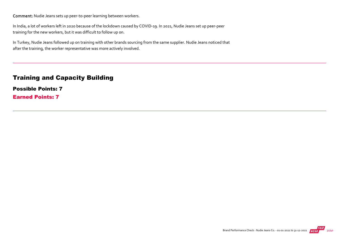Comment: Nudie Jeans sets up peer‐to‐peer learning between workers.

In India, a lot of workers left in 2020 because of the lockdown caused by COVID‐19. In 2021, Nudie Jeans set up peer‐peer training for the new workers, but it was difficult to follow up on.

In Turkey, Nudie Jeans followed up on training with other brands sourcing from the same supplier. Nudie Jeans noticed that after the training, the worker representative was more actively involved.

#### Training and Capacity Building

Possible Points: 7

Earned Points: 7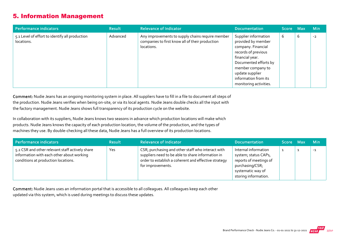## 5. Information Management

| Performance indicators                                       | <b>Result</b> | <b>Relevance of Indicator</b>                                                                                     | <b>Documentation</b>                                                                                                                                                                                                          | Score Max |   | <b>Min</b> |
|--------------------------------------------------------------|---------------|-------------------------------------------------------------------------------------------------------------------|-------------------------------------------------------------------------------------------------------------------------------------------------------------------------------------------------------------------------------|-----------|---|------------|
| 5.1 Level of effort to identify all production<br>locations. | Advanced      | Any improvements to supply chains require member<br>companies to first know all of their production<br>locations. | Supplier information<br>provided by member<br>company. Financial<br>records of previous<br>financial year.<br>Documented efforts by<br>member company to<br>update supplier<br>information from its<br>monitoring activities. | 6         | 6 | $-2$       |

Comment: Nudie Jeans has an ongoing monitoring system in place. All suppliers have to fill in a file to document all steps of the production. Nudie Jeans verifies when being on‐site, or via its local agents. Nudie Jeans double checks all the input with the factory management. Nudie Jeans shows full transparency of its production cycle on the website.

In collaboration with its suppliers, Nudie Jeans knows two seasons in advance which production locations will make which products. Nudie Jeans knows the capacity of each production location, the volume of the production, and the types of machines they use. By double‐checking all these data, Nudie Jeans has a full overview of its production locations.

| Performance indicators                                                                                                              | <b>Result</b> | <b>Relevance of Indicator</b>                                                                                                                                                       | <b>Documentation</b>                                                                                                                   | Score Max | <b>Min</b> |
|-------------------------------------------------------------------------------------------------------------------------------------|---------------|-------------------------------------------------------------------------------------------------------------------------------------------------------------------------------------|----------------------------------------------------------------------------------------------------------------------------------------|-----------|------------|
| 5.2 CSR and other relevant staff actively share<br>information with each other about working<br>conditions at production locations. | Yes           | CSR, purchasing and other staff who interact with<br>suppliers need to be able to share information in<br>order to establish a coherent and effective strategy<br>for improvements. | Internal information<br>system; status CAPs,<br>reports of meetings of<br>purchasing/CSR;<br>systematic way of<br>storing information. |           | $-1$       |

Comment: Nudie Jeans uses an information portal that is accessible to all colleagues. All colleagues keep each other updated via this system, which is used during meetings to discuss these updates.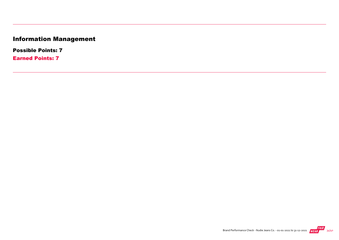# Information Management

Possible Points: 7

Earned Points: 7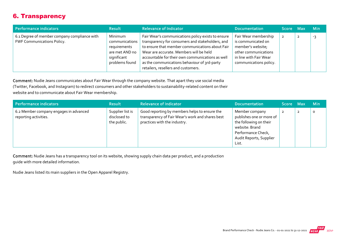## 6. Transparency

| Performance indicators                                                            | <b>Result</b>                                                                                | <b>Relevance of Indicator</b>                                                                                                                                                                                                                                                                                                                   | <b>Documentation</b>                                                                                                                        | Score Max | <b>Min</b> |
|-----------------------------------------------------------------------------------|----------------------------------------------------------------------------------------------|-------------------------------------------------------------------------------------------------------------------------------------------------------------------------------------------------------------------------------------------------------------------------------------------------------------------------------------------------|---------------------------------------------------------------------------------------------------------------------------------------------|-----------|------------|
| 6.1 Degree of member company compliance with<br><b>FWF Communications Policy.</b> | Minimum<br>communications<br>requirements<br>are met AND no<br>significant<br>problems found | Fair Wear's communications policy exists to ensure<br>transparency for consumers and stakeholders, and<br>to ensure that member communications about Fair<br>Wear are accurate. Members will be held<br>accountable for their own communications as well<br>as the communications behaviour of 3rd-party<br>retailers, resellers and customers. | Fair Wear membership<br>is communicated on<br>member's website;<br>other communications<br>in line with Fair Wear<br>communications policy. |           | -3         |

Comment: Nudie Jeans communicates about Fair Wear through the company website. That apart they use social media (Twitter, Facebook, and Instagram) to redirect consumers and other stakeholders to sustainability‐related content on their website and to communicate about Fair Wear membership.

| Performance indicators                                          | <b>Result</b>                                   | <b>Relevance of Indicator</b>                                                                                                     | <b>Documentation</b>                                                                                                                             | Score Max | <b>Min</b> |
|-----------------------------------------------------------------|-------------------------------------------------|-----------------------------------------------------------------------------------------------------------------------------------|--------------------------------------------------------------------------------------------------------------------------------------------------|-----------|------------|
| 6.2 Member company engages in advanced<br>reporting activities. | Supplier list is<br>disclosed to<br>the public. | Good reporting by members helps to ensure the<br>transparency of Fair Wear's work and shares best<br>practices with the industry. | Member company<br>publishes one or more of<br>the following on their<br>website: Brand<br>Performance Check,<br>Audit Reports, Supplier<br>List. | 2         | $\circ$    |

Comment: Nudie Jeans has a transparency tool on its website, showing supply chain data per product, and a production guide with more detailed information.

Nudie Jeans listed its main suppliers in the Open Apparel Registry.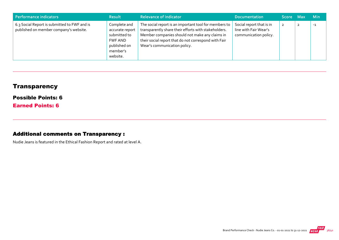| Performance indicators                                                                 | <b>Result</b>                                                                                      | <b>Relevance of Indicator</b>                                                                                                                                                                                                                           | <b>Documentation</b>                                                       | Score Max      | <b>Min</b> |
|----------------------------------------------------------------------------------------|----------------------------------------------------------------------------------------------------|---------------------------------------------------------------------------------------------------------------------------------------------------------------------------------------------------------------------------------------------------------|----------------------------------------------------------------------------|----------------|------------|
| 6.3 Social Report is submitted to FWF and is<br>published on member company's website. | Complete and<br>accurate report<br>submitted to<br>FWF AND<br>published on<br>member's<br>website. | The social report is an important tool for members to<br>transparently share their efforts with stakeholders.<br>Member companies should not make any claims in<br>their social report that do not correspond with Fair<br>Wear's communication policy. | Social report that is in<br>line with Fair Wear's<br>communication policy. | $\overline{2}$ | $-1$       |

## **Transparency**

#### Possible Points: 6

Earned Points: 6

#### Additional comments on Transparency :

Nudie Jeans is featured in the Ethical Fashion Report and rated at level A.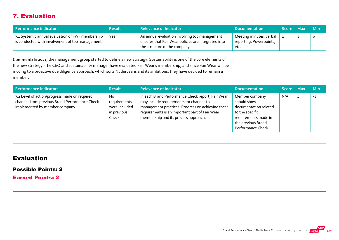## 7. Evaluation

| Performance indicators                                                                                                           | <b>Result</b> | <b>Relevance of Indicator</b>                                                                                                         | <b>Documentation</b>                                       | <b>Score</b> | <b>Max</b> | - Min   |
|----------------------------------------------------------------------------------------------------------------------------------|---------------|---------------------------------------------------------------------------------------------------------------------------------------|------------------------------------------------------------|--------------|------------|---------|
| $\frac{1}{2}$ 7.1 Systemic annual evaluation of FWF membership $\frac{1}{2}$<br>is conducted with involvement of top management. | Yes           | An annual evaluation involving top management<br>ensures that Fair Wear policies are integrated into<br>the structure of the company. | Meeting minutes, verbal<br>reporting, Powerpoints,<br>etc. |              | 2          | $\circ$ |

Comment: In 2021, the management group started to define a new strategy. Sustainability is one of the core elements of the new strategy. The CEO and sustainability manager have evaluated Fair Wear's membership, and since Fair Wear will be moving to a proactive due diligence approach, which suits Nudie Jeans and its ambitions, they have decided to remain a member.

| Performance indicators                                                                                                           | <b>Result</b>                                                           | <b>Relevance of Indicator</b>                                                                                                                                                                                                               | <b>Documentation</b>                                                                                                                          | Score Max | <b>Min</b> |
|----------------------------------------------------------------------------------------------------------------------------------|-------------------------------------------------------------------------|---------------------------------------------------------------------------------------------------------------------------------------------------------------------------------------------------------------------------------------------|-----------------------------------------------------------------------------------------------------------------------------------------------|-----------|------------|
| 7.2 Level of action/progress made on required<br>changes from previous Brand Performance Check<br>implemented by member company. | N <sub>o</sub><br>requirements<br>were included<br>in previous<br>Check | In each Brand Performance Check report, Fair Wear<br>may include requirements for changes to<br>management practices. Progress on achieving these<br>requirements is an important part of Fair Wear<br>membership and its process approach. | Member company<br>should show<br>documentation related<br>to the specific<br>requirements made in<br>the previous Brand<br>Performance Check. | N/A       | $-2$       |

#### Evaluation

#### Possible Points: 2

Earned Points: 2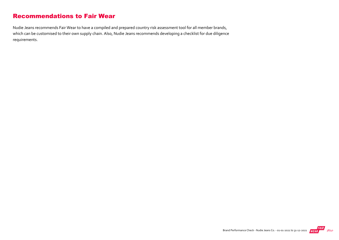## Recommendations to Fair Wear

Nudie Jeans recommends Fair Wear to have a compiled and prepared country risk assessment tool for all member brands, which can be customised to their own supply chain. Also, Nudie Jeans recommends developing a checklist for due diligence requirements.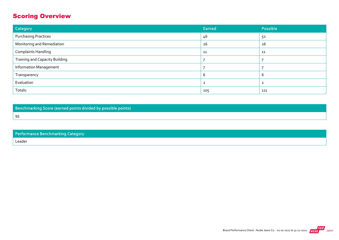## Scoring Overview

| Category                              | Earned | Possible |
|---------------------------------------|--------|----------|
| <b>Purchasing Practices</b>           | 46     | 52       |
| Monitoring and Remediation            | 26     | 26       |
| <b>Complaints Handling</b>            | 11     | 11       |
| <b>Training and Capacity Building</b> |        |          |
| <b>Information Management</b>         |        |          |
| Transparency                          | b      | b        |
| Evaluation                            |        |          |
| Totals:                               | 105    | 111      |

Benchmarking Score (earned points divided by possible points)

95

| <b>Performance Benchmarking Category</b> |
|------------------------------------------|
|                                          |

Leader